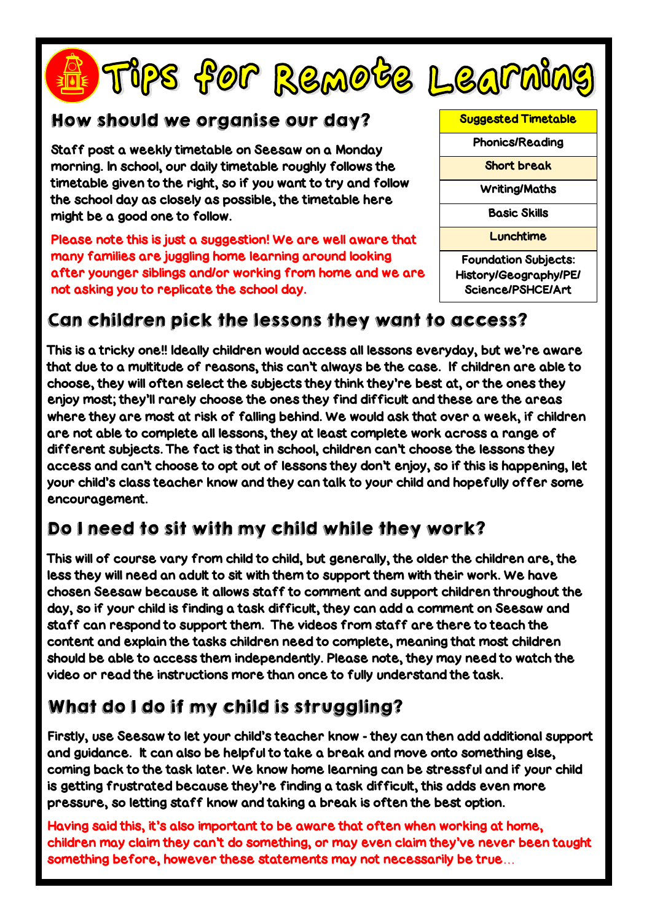# Fips for Remote Learning



Staff post a weekly timetable on Seesaw on a Monday morning. In school, our daily timetable roughly follows the timetable given to the right, so if you want to try and follow the school day as closely as possible, the timetable here might be a good one to follow.

Please note this is just a suggestion! We are well aware that many families are juggling home learning around looking after younger siblings and/or working from home and we are not asking you to replicate the school day.



Suggested Timetable Phonics/Reading Short break Writing/Maths Basic Skills **Lunchtime** Foundation Subjects: History/Geography/PE/ Science/PSHCE/Art

## Can children pick the lessons they want to access?

This is a tricky one!! Ideally children would access all lessons everyday, but we're aware that due to a multitude of reasons, this can't always be the case. If children are able to choose, they will often select the subjects they think they're best at, or the ones they enjoy most; they'll rarely choose the ones they find difficult and these are the areas where they are most at risk of falling behind. We would ask that over a week, if children are not able to complete all lessons, they at least complete work across a range of different subjects. The fact is that in school, children can't choose the lessons they access and can't choose to opt out of lessons they don't enjoy, so if this is happening, let your child's class teacher know and they can talk to your child and hopefully offer some encouragement.

## Do I need to sit with my child while they work?

This will of course vary from child to child, but generally, the older the children are, the less they will need an adult to sit with them to support them with their work. We have chosen Seesaw because it allows staff to comment and support children throughout the day, so if your child is finding a task difficult, they can add a comment on Seesaw and staff can respond to support them. The videos from staff are there to teach the content and explain the tasks children need to complete, meaning that most children should be able to access them independently. Please note, they may need to watch the video or read the instructions more than once to fully understand the task.

# What do I do if my child is struggling?

Firstly, use Seesaw to let your child's teacher know - they can then add additional support and guidance. It can also be helpful to take a break and move onto something else, coming back to the task later. We know home learning can be stressful and if your child is getting frustrated because they're finding a task difficult, this adds even more pressure, so letting staff know and taking a break is often the best option.

Having said this, it's also important to be aware that often when working at home, children may claim they can't do something, or may even claim they've never been taught something before, however these statements may not necessarily be true…